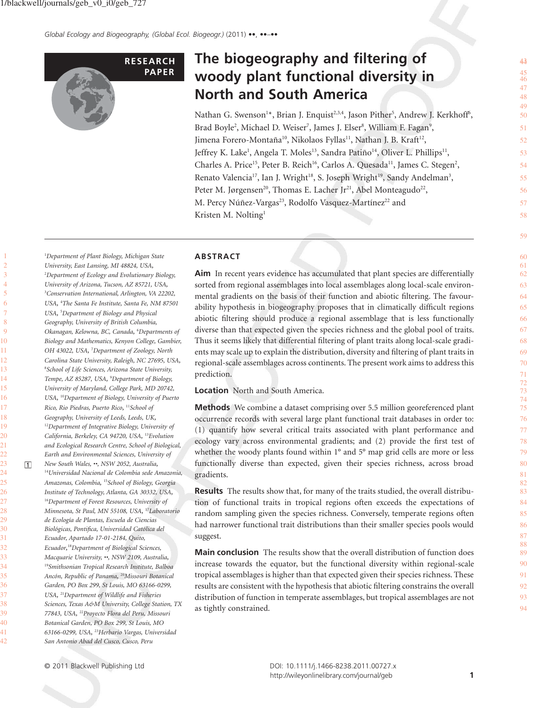**1**

*Global Ecology and Biogeography, (Global Ecol. Biogeogr.)* (2011) **••**, ••–••



# **The biogeography and filtering of woody plant functional diversity in North and South America**

Nathan G. Swenson<sup>1\*</sup>, Brian J. Enquist<sup>2,3,4</sup>, Jason Pither<sup>5</sup>, Andrew J. Kerkhoff<sup>6</sup>, Brad Boyle<sup>2</sup>, Michael D. Weiser<sup>7</sup>, James J. Elser<sup>8</sup>, William F. Fagan<sup>9</sup>, Jimena Forero-Montaña<sup>10</sup>, Nikolaos Fyllas<sup>11</sup>, Nathan J. B. Kraft<sup>12</sup>, Jeffrey K. Lake<sup>1</sup>, Angela T. Moles<sup>13</sup>, Sandra Patiño<sup>14</sup>, Oliver L. Phillips<sup>11</sup>, Charles A. Price<sup>15</sup>, Peter B. Reich<sup>16</sup>, Carlos A. Quesada<sup>11</sup>, James C. Stegen<sup>2</sup>, Renato Valencia<sup>17</sup>, Ian J. Wright<sup>18</sup>, S. Joseph Wright<sup>19</sup>, Sandy Andelman<sup>3</sup>, Peter M. Jørgensen<sup>20</sup>, Thomas E. Lacher Jr<sup>21</sup>, Abel Monteagudo<sup>22</sup>, M. Percy Núñez-Vargas<sup>23</sup>, Rodolfo Vasquez-Martínez<sup>22</sup> and Kristen M. Nolting<sup>1</sup>

1 *Department of Plant Biology, Michigan State University, East Lansing, MI 48824, USA,* 2 *Department of Ecology and Evolutionary Biology, University of Arizona, Tucson, AZ 85721, USA,* 3 *Conservation International, Arlington, VA 22202, USA,* <sup>4</sup> *The Santa Fe Institute, Santa Fe, NM 87501 USA,* <sup>5</sup> *Department of Biology and Physical Geography, University of British Columbia, Okanagan, Kelowna, BC, Canada,* <sup>6</sup> *Departments of Biology and Mathematics, Kenyon College, Gambier, OH 43022, USA,* <sup>7</sup> *Department of Zoology, North Carolina State University, Raleigh, NC 27695, USA,* 8 *School of Life Sciences, Arizona State University, Tempe, AZ 85287, USA,* <sup>9</sup> *Department of Biology, University of Maryland, College Park, MD 20742, USA,* <sup>10</sup>*Department of Biology, University of Puerto Rico, Rio Piedras, Puerto Rico,* <sup>11</sup>*School of Geography, University of Leeds, Leeds, UK,* <sup>12</sup>*Department of Integrative Biology, University of California, Berkeley, CA 94720, USA,* <sup>13</sup>*Evolution and Ecological Research Centre, School of Biological, Earth and Environmental Sciences, University of New South Wales, ••, NSW 2052, Australia,* <sup>14</sup>*Universidad Nacional de Colombia sede Amazonia, Amazonas, Colombia,* <sup>15</sup>*School of Biology, Georgia Institute of Technology, Atlanta, GA 30332, USA,* <sup>16</sup>*Department of Forest Resources, University of Minnesota, St Paul, MN 55108, USA,* <sup>17</sup>*Laboratorio de Ecología de Plantas, Escuela de Ciencias Biológicas, Pontifica, Universidad Católica del Ecuador, Apartado 17-01-2184, Quito, Ecuador,* <sup>18</sup>*Department of Biological Sciences, Macquarie University, ••, NSW 2109, Australia,* <sup>19</sup>*Smithsonian Tropical Research Institute, Balboa Ancón, Republic of Panama,* <sup>20</sup>*Missouri Botanical Garden, PO Box 299, St Louis, MO 63166-0299, USA,* <sup>21</sup>*Department of Wildlife and Fisheries Sciences, Texas A&M University, College Station, TX 77843, USA,* <sup>22</sup>*Proyecto Flora del Peru, Missouri Botanical Garden, PO Box 299, St Louis, MO 63166-0299, USA,* <sup>23</sup>*Herbario Vargas, Universidad San Antonio Abad del Cusco, Cusco, Peru*

## **ABSTRACT**

**Aim** In recent years evidence has accumulated that plant species are differentially sorted from regional assemblages into local assemblages along local-scale environmental gradients on the basis of their function and abiotic filtering. The favourability hypothesis in biogeography proposes that in climatically difficult regions abiotic filtering should produce a regional assemblage that is less functionally diverse than that expected given the species richness and the global pool of traits. Thus it seems likely that differential filtering of plant traits along local-scale gradients may scale up to explain the distribution, diversity and filtering of plant traits in regional-scale assemblages across continents. The present work aims to address this prediction.

**Location** North and South America.

**Methods** We combine a dataset comprising over 5.5 million georeferenced plant occurrence records with several large plant functional trait databases in order to: (1) quantify how several critical traits associated with plant performance and ecology vary across environmental gradients; and (2) provide the first test of whether the woody plants found within 1° and 5° map grid cells are more or less functionally diverse than expected, given their species richness, across broad gradients.

**Results** The results show that, for many of the traits studied, the overall distribution of functional traits in tropical regions often exceeds the expectations of random sampling given the species richness. Conversely, temperate regions often had narrower functional trait distributions than their smaller species pools would suggest.

**Main conclusion** The results show that the overall distribution of function does increase towards the equator, but the functional diversity within regional-scale tropical assemblages is higher than that expected given their species richness. These results are consistent with the hypothesis that abiotic filtering constrains the overall distribution of function in temperate assemblages, but tropical assemblages are not as tightly constrained.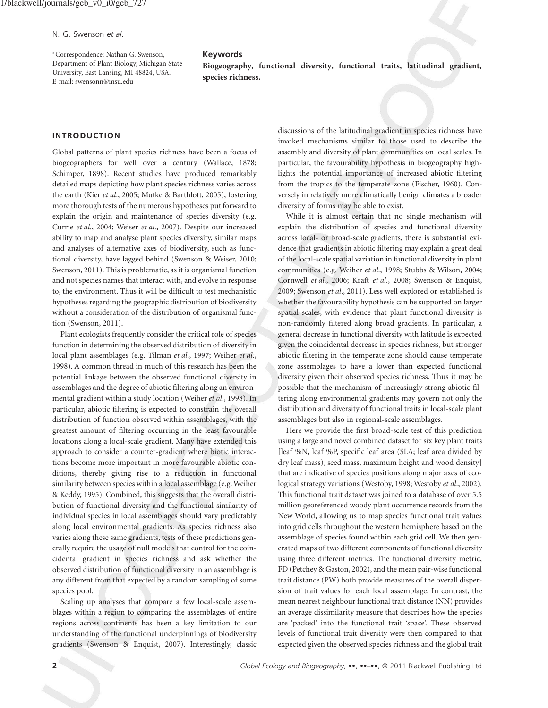N. G. Swenson *et al*.

\*Correspondence: Nathan G. Swenson, Department of Plant Biology, Michigan State University, East Lansing, MI 48824, USA. E-mail: swensonn@msu.edu

## **Keywords Biogeography, functional diversity, functional traits, latitudinal gradient, species richness.**

## **INTRODUCTION**

Global patterns of plant species richness have been a focus of biogeographers for well over a century (Wallace, 1878; Schimper, 1898). Recent studies have produced remarkably detailed maps depicting how plant species richness varies across the earth (Kier *et al*., 2005; Mutke & Barthlott, 2005), fostering more thorough tests of the numerous hypotheses put forward to explain the origin and maintenance of species diversity (e.g. Currie *et al*., 2004; Weiser *et al*., 2007). Despite our increased ability to map and analyse plant species diversity, similar maps and analyses of alternative axes of biodiversity, such as functional diversity, have lagged behind (Swenson & Weiser, 2010; Swenson, 2011). This is problematic, as it is organismal function and not species names that interact with, and evolve in response to, the environment. Thus it will be difficult to test mechanistic hypotheses regarding the geographic distribution of biodiversity without a consideration of the distribution of organismal function (Swenson, 2011).

Plant ecologists frequently consider the critical role of species function in determining the observed distribution of diversity in local plant assemblages (e.g. Tilman *et al*., 1997; Weiher *et al*., 1998). A common thread in much of this research has been the potential linkage between the observed functional diversity in assemblages and the degree of abiotic filtering along an environmental gradient within a study location (Weiher *et al*., 1998). In particular, abiotic filtering is expected to constrain the overall distribution of function observed within assemblages, with the greatest amount of filtering occurring in the least favourable locations along a local-scale gradient. Many have extended this approach to consider a counter-gradient where biotic interactions become more important in more favourable abiotic conditions, thereby giving rise to a reduction in functional similarity between species within a local assemblage (e.g.Weiher & Keddy, 1995). Combined, this suggests that the overall distribution of functional diversity and the functional similarity of individual species in local assemblages should vary predictably along local environmental gradients. As species richness also varies along these same gradients, tests of these predictions generally require the usage of null models that control for the coincidental gradient in species richness and ask whether the observed distribution of functional diversity in an assemblage is any different from that expected by a random sampling of some species pool.

Scaling up analyses that compare a few local-scale assemblages within a region to comparing the assemblages of entire regions across continents has been a key limitation to our understanding of the functional underpinnings of biodiversity gradients (Swenson & Enquist, 2007). Interestingly, classic

discussions of the latitudinal gradient in species richness have invoked mechanisms similar to those used to describe the assembly and diversity of plant communities on local scales. In particular, the favourability hypothesis in biogeography highlights the potential importance of increased abiotic filtering from the tropics to the temperate zone (Fischer, 1960). Conversely in relatively more climatically benign climates a broader diversity of forms may be able to exist.

While it is almost certain that no single mechanism will explain the distribution of species and functional diversity across local- or broad-scale gradients, there is substantial evidence that gradients in abiotic filtering may explain a great deal of the local-scale spatial variation in functional diversity in plant communities (e.g. Weiher *et al*., 1998; Stubbs & Wilson, 2004; Cornwell *et al*., 2006; Kraft *et al*., 2008; Swenson & Enquist, 2009; Swenson *et al*., 2011). Less well explored or established is whether the favourability hypothesis can be supported on larger spatial scales, with evidence that plant functional diversity is non-randomly filtered along broad gradients. In particular, a general decrease in functional diversity with latitude is expected given the coincidental decrease in species richness, but stronger abiotic filtering in the temperate zone should cause temperate zone assemblages to have a lower than expected functional diversity given their observed species richness. Thus it may be possible that the mechanism of increasingly strong abiotic filtering along environmental gradients may govern not only the distribution and diversity of functional traits in local-scale plant assemblages but also in regional-scale assemblages.

Here we provide the first broad-scale test of this prediction using a large and novel combined dataset for six key plant traits [leaf %N, leaf %P, specific leaf area (SLA; leaf area divided by dry leaf mass), seed mass, maximum height and wood density] that are indicative of species positions along major axes of ecological strategy variations (Westoby, 1998; Westoby *et al*., 2002). This functional trait dataset was joined to a database of over 5.5 million georeferenced woody plant occurrence records from the New World, allowing us to map species functional trait values into grid cells throughout the western hemisphere based on the assemblage of species found within each grid cell. We then generated maps of two different components of functional diversity using three different metrics. The functional diversity metric, FD (Petchey & Gaston, 2002), and the mean pair-wise functional trait distance (PW) both provide measures of the overall dispersion of trait values for each local assemblage. In contrast, the mean nearest neighbour functional trait distance (NN) provides an average dissimilarity measure that describes how the species are 'packed' into the functional trait 'space'. These observed levels of functional trait diversity were then compared to that expected given the observed species richness and the global trait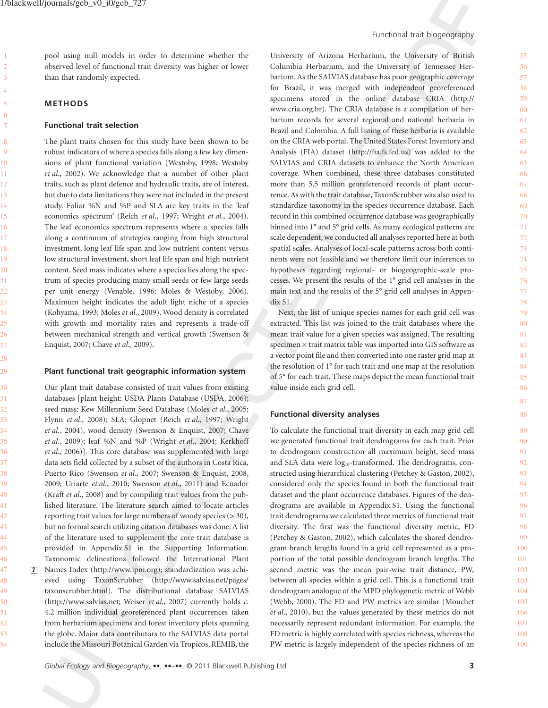pool using null models in order to determine whether the observed level of functional trait diversity was higher or lower than that randomly expected.

### **METHODS**

### **Functional trait selection**

The plant traits chosen for this study have been shown to be robust indicators of where a species falls along a few key dimensions of plant functional variation (Westoby, 1998; Westoby *et al*., 2002). We acknowledge that a number of other plant traits, such as plant defence and hydraulic traits, are of interest, but due to data limitations they were not included in the present study. Foliar %N and %P and SLA are key traits in the 'leaf economics spectrum' (Reich *et al*., 1997; Wright *et al*., 2004). The leaf economics spectrum represents where a species falls along a continuum of strategies ranging from high structural investment, long leaf life span and low nutrient content versus low structural investment, short leaf life span and high nutrient content. Seed mass indicates where a species lies along the spectrum of species producing many small seeds or few large seeds per unit energy (Venable, 1996; Moles & Westoby, 2006). Maximum height indicates the adult light niche of a species (Kohyama, 1993; Moles *et al*., 2009). Wood density is correlated with growth and mortality rates and represents a trade-off between mechanical strength and vertical growth (Swenson & Enquist, 2007; Chave *et al*., 2009).

### **Plant functional trait geographic information system**

Our plant trait database consisted of trait values from existing databases [plant height: USDA Plants Database (USDA, 2006); seed mass: Kew Millennium Seed Database (Moles *et al*., 2005; Flynn *et al*., 2008); SLA: Glopnet (Reich *et al*., 1997; Wright *et al*., 2004), wood density (Swenson & Enquist, 2007; Chave *et al*., 2009); leaf %N and %P (Wright *et al*., 2004; Kerkhoff *et al*., 2006)]. This core database was supplemented with large data sets field collected by a subset of the authors in Costa Rica, Puerto Rico (Swenson *et al*., 2007; Swenson & Enquist, 2008, 2009; Uriarte *et al*., 2010; Swenson *et al*., 2011) and Ecuador (Kraft *et al*., 2008) and by compiling trait values from the published literature. The literature search aimed to locate articles reporting trait values for large numbers of woody species  $(>30)$ , but no formal search utilizing citation databases was done. A list of the literature used to supplement the core trait database is provided in Appendix S1 in the Supporting Information. Taxonomic delineations followed the International Plant Names Index (http://www.ipni.org); standardization was achi-2 **<sup>2</sup>**eved using TaxonScrubber (http://www.salvias.net/pages/ taxonscrubber.html). The distributional database SALVIAS (http://www.salvias.net; Weiser *et al*., 2007) currently holds *c*. 4.2 million individual georeferenced plant occurrences taken from herbarium specimens and forest inventory plots spanning the globe. Major data contributors to the SALVIAS data portal include the Missouri Botanical Garden via Tropicos, REMIB, the

University of Arizona Herbarium, the University of British Columbia Herbarium, and the University of Tennessee Herbarium. As the SALVIAS database has poor geographic coverage for Brazil, it was merged with independent georeferenced specimens stored in the online database CRIA (http:// www.cria.org.br). The CRIA database is a compilation of herbarium records for several regional and national herbaria in Brazil and Colombia. A full listing of these herbaria is available on the CRIA web portal. The United States Forest Inventory and Analysis (FIA) dataset (http://fia.fs.fed.us) was added to the SALVIAS and CRIA datasets to enhance the North American coverage. When combined, these three databases constituted more than 5.5 million georeferenced records of plant occurrence. As with the trait database, TaxonScrubber was also used to standardize taxonomy in the species occurrence database. Each record in this combined occurrence database was geographically binned into 1° and 5° grid cells. As many ecological patterns are scale dependent, we conducted all analyses reported here at both spatial scales. Analyses of local-scale patterns across both continents were not feasible and we therefore limit our inferences to hypotheses regarding regional- or biogeographic-scale processes. We present the results of the 1° grid cell analyses in the main text and the results of the 5° grid cell analyses in Appendix S1.

Next, the list of unique species names for each grid cell was extracted. This list was joined to the trait databases where the mean trait value for a given species was assigned. The resulting specimen × trait matrix table was imported into GIS software as a vector point file and then converted into one raster grid map at the resolution of 1° for each trait and one map at the resolution of 5° for each trait. These maps depict the mean functional trait value inside each grid cell.

### **Functional diversity analyses**

To calculate the functional trait diversity in each map grid cell we generated functional trait dendrograms for each trait. Prior to dendrogram construction all maximum height, seed mass and SLA data were  $log_{10}$ -transformed. The dendrograms, constructed using hierarchical clustering (Petchey & Gaston, 2002), considered only the species found in both the functional trait dataset and the plant occurrence databases. Figures of the dendrograms are available in Appendix S1. Using the functional trait dendrograms we calculated three metrics of functional trait diversity. The first was the functional diversity metric, FD (Petchey & Gaston, 2002), which calculates the shared dendrogram branch lengths found in a grid cell represented as a proportion of the total possible dendrogram branch lengths. The second metric was the mean pair-wise trait distance, PW, between all species within a grid cell. This is a functional trait dendrogram analogue of the MPD phylogenetic metric of Webb (Webb, 2000). The FD and PW metrics are similar (Mouchet *et al*., 2010), but the values generated by these metrics do not necessarily represent redundant information. For example, the FD metric is highly correlated with species richness, whereas the PW metric is largely independent of the species richness of an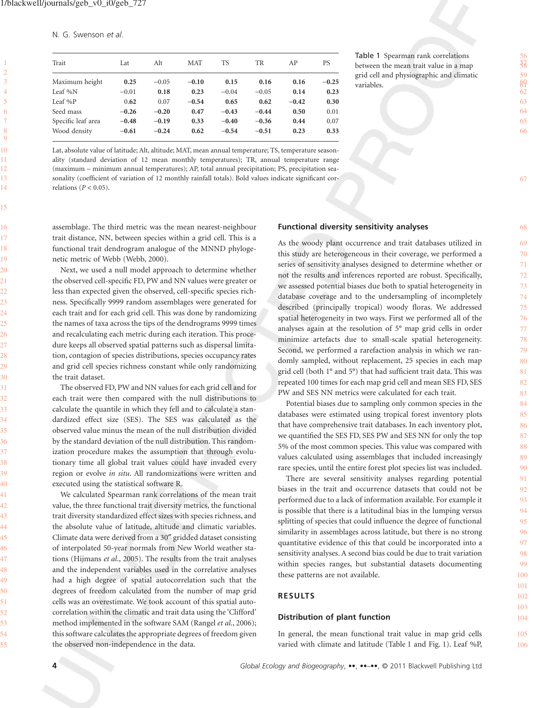N. G. Swenson *et al*.

| Trait              | Lat     | Alt     | <b>MAT</b> | TS      | TR      | AP      | <b>PS</b> |
|--------------------|---------|---------|------------|---------|---------|---------|-----------|
| Maximum height     | 0.25    | $-0.05$ | $-0.10$    | 0.15    | 0.16    | 0.16    | $-0.25$   |
| Leaf $\%$ N        | $-0.01$ | 0.18    | 0.23       | $-0.04$ | $-0.05$ | 0.14    | 0.23      |
| Leaf $%P$          | 0.62    | 0.07    | $-0.54$    | 0.65    | 0.62    | $-0.42$ | 0.30      |
| Seed mass          | $-0.26$ | $-0.20$ | 0.47       | $-0.43$ | $-0.44$ | 0.50    | 0.01      |
| Specific leaf area | $-0.48$ | $-0.19$ | 0.33       | $-0.40$ | $-0.36$ | 0.44    | 0.07      |
| Wood density       | $-0.61$ | $-0.24$ | 0.62       | $-0.54$ | $-0.51$ | 0.23    | 0.33      |

Lat, absolute value of latitude; Alt, altitude; MAT, mean annual temperature; TS, temperature seasonality (standard deviation of 12 mean monthly temperatures); TR, annual temperature range (maximum – minimum annual temperatures); AP, total annual precipitation; PS, precipitation seasonality (coefficient of variation of 12 monthly rainfall totals). Bold values indicate significant correlations (*P* < 0.05).

assemblage. The third metric was the mean nearest-neighbour trait distance, NN, between species within a grid cell. This is a functional trait dendrogram analogue of the MNND phylogenetic metric of Webb (Webb, 2000).

Next, we used a null model approach to determine whether the observed cell-specific FD, PW and NN values were greater or less than expected given the observed, cell-specific species richness. Specifically 9999 random assemblages were generated for each trait and for each grid cell. This was done by randomizing the names of taxa across the tips of the dendrograms 9999 times and recalculating each metric during each iteration. This procedure keeps all observed spatial patterns such as dispersal limitation, contagion of species distributions, species occupancy rates and grid cell species richness constant while only randomizing the trait dataset.

The observed FD, PW and NN values for each grid cell and for each trait were then compared with the null distributions to calculate the quantile in which they fell and to calculate a standardized effect size (SES). The SES was calculated as the observed value minus the mean of the null distribution divided by the standard deviation of the null distribution. This randomization procedure makes the assumption that through evolutionary time all global trait values could have invaded every region or evolve *in situ*. All randomizations were written and executed using the statistical software R.

We calculated Spearman rank correlations of the mean trait value, the three functional trait diversity metrics, the functional trait diversity standardized effect sizes with species richness, and the absolute value of latitude, altitude and climatic variables. Climate data were derived from a 30″ gridded dataset consisting of interpolated 50-year normals from New World weather stations (Hijmans *et al*., 2005). The results from the trait analyses and the independent variables used in the correlative analyses had a high degree of spatial autocorrelation such that the degrees of freedom calculated from the number of map grid cells was an overestimate. We took account of this spatial autocorrelation within the climatic and trait data using the 'Clifford' method implemented in the software SAM (Rangel *et al*., 2006); this software calculates the appropriate degrees of freedom given the observed non-independence in the data.

Table 1 Spearman rank correlations between the mean trait value in a map grid cell and physiographic and climatic variables.

## **Functional diversity sensitivity analyses**

As the woody plant occurrence and trait databases utilized in this study are heterogeneous in their coverage, we performed a series of sensitivity analyses designed to determine whether or not the results and inferences reported are robust. Specifically, we assessed potential biases due both to spatial heterogeneity in database coverage and to the undersampling of incompletely described (principally tropical) woody floras. We addressed spatial heterogeneity in two ways. First we performed all of the analyses again at the resolution of 5° map grid cells in order minimize artefacts due to small-scale spatial heterogeneity. Second, we performed a rarefaction analysis in which we randomly sampled, without replacement, 25 species in each map grid cell (both 1° and 5°) that had sufficient trait data. This was repeated 100 times for each map grid cell and mean SES FD, SES PW and SES NN metrics were calculated for each trait.

Potential biases due to sampling only common species in the databases were estimated using tropical forest inventory plots that have comprehensive trait databases. In each inventory plot, we quantified the SES FD, SES PW and SES NN for only the top 5% of the most common species. This value was compared with values calculated using assemblages that included increasingly rare species, until the entire forest plot species list was included.

There are several sensitivity analyses regarding potential biases in the trait and occurrence datasets that could not be performed due to a lack of information available. For example it is possible that there is a latitudinal bias in the lumping versus splitting of species that could influence the degree of functional similarity in assemblages across latitude, but there is no strong quantitative evidence of this that could be incorporated into a sensitivity analyses. A second bias could be due to trait variation within species ranges, but substantial datasets documenting these patterns are not available.

### **RESULTS**

### **Distribution of plant function**

In general, the mean functional trait value in map grid cells varied with climate and latitude (Table 1 and Fig. 1). Leaf %P,

54 55

67

<sup>9</sup> 10 11 12 13 14 15 16 17 18 19 20 21 22 23 24 25 26 27 28 29 30 31 32 33 34 35 36 37 38 39 40 41 42 43 44 45 46 47 48 49 50 51 52 53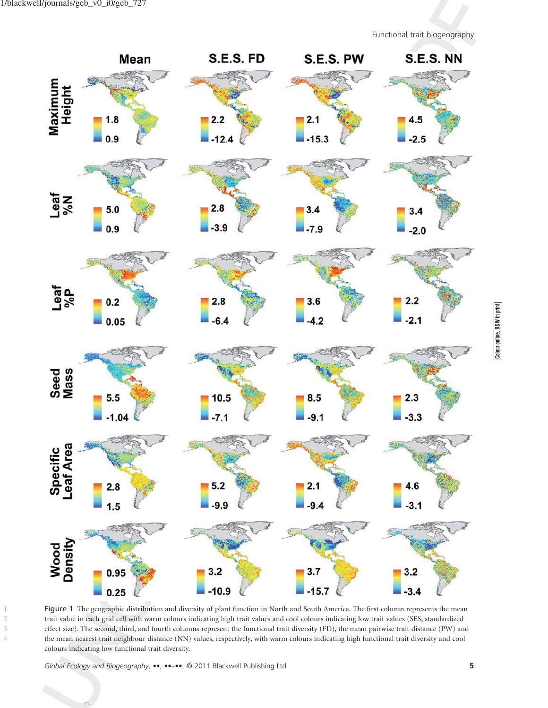Functional trait biogeography



Figure 1 The geographic distribution and diversity of plant function in North and South America. The first column represents the mean trait value in each grid cell with warm colours indicating high trait values and cool colours indicating low trait values (SES, standardized effect size). The second, third, and fourth columns represent the functional trait diversity (FD), the mean pairwise trait distance (PW) and the mean nearest trait neighbour distance (NN) values, respectively, with warm colours indicating high functional trait diversity and cool colours indicating low functional trait diversity.

*Global Ecology and Biogeography*, **••**, ••–••, © 2011 Blackwell Publishing Ltd **5**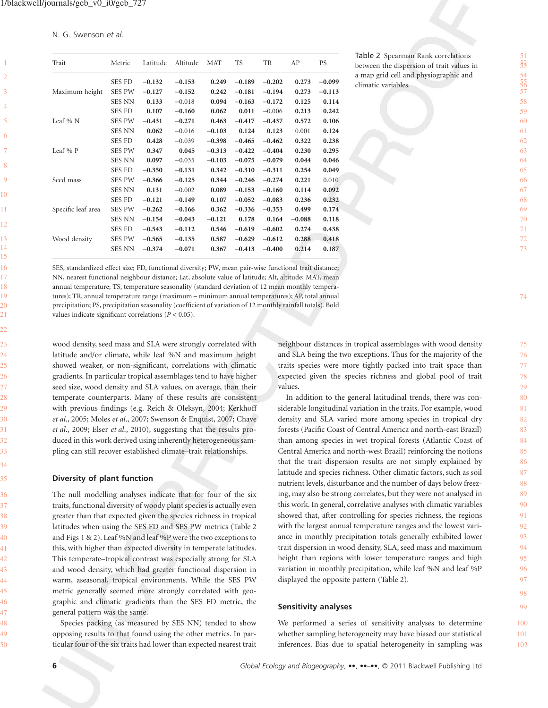N. G. Swenson *et al*.

| Trait              | Metric        | Latitude | Altitude | MAT      | TS       | TR       | AP       | <b>PS</b> |
|--------------------|---------------|----------|----------|----------|----------|----------|----------|-----------|
|                    | SES FD        | $-0.132$ | $-0.153$ | 0.249    | $-0.189$ | $-0.202$ | 0.273    | $-0.099$  |
| Maximum height     | <b>SES PW</b> | $-0.127$ | $-0.152$ | 0.242    | $-0.181$ | $-0.194$ | 0.273    | $-0.113$  |
|                    | <b>SES NN</b> | 0.133    | $-0.018$ | 0.094    | $-0.163$ | $-0.172$ | 0.125    | 0.114     |
|                    | <b>SES FD</b> | 0.107    | $-0.160$ | 0.062    | 0.011    | $-0.006$ | 0.213    | 0.242     |
| Leaf % N           | <b>SES PW</b> | $-0.431$ | $-0.271$ | 0.463    | $-0.417$ | $-0.437$ | 0.572    | 0.106     |
|                    | <b>SES NN</b> | 0.062    | $-0.016$ | $-0.103$ | 0.124    | 0.123    | 0.001    | 0.124     |
|                    | <b>SES FD</b> | 0.428    | $-0.039$ | $-0.398$ | $-0.465$ | $-0.462$ | 0.322    | 0.238     |
| Leaf % P           | <b>SES PW</b> | 0.347    | 0.045    | $-0.313$ | $-0.422$ | $-0.404$ | 0.230    | 0.295     |
|                    | <b>SES NN</b> | 0.097    | $-0.035$ | $-0.103$ | $-0.075$ | $-0.079$ | 0.044    | 0.046     |
|                    | SES FD        | $-0.350$ | $-0.131$ | 0.342    | $-0.310$ | $-0.311$ | 0.254    | 0.049     |
| Seed mass          | <b>SES PW</b> | $-0.366$ | $-0.125$ | 0.344    | $-0.246$ | $-0.274$ | 0.221    | 0.010     |
|                    | <b>SES NN</b> | 0.131    | $-0.002$ | 0.089    | $-0.153$ | $-0.160$ | 0.114    | 0.092     |
|                    | SES FD        | $-0.121$ | $-0.149$ | 0.107    | $-0.052$ | $-0.083$ | 0.236    | 0.232     |
| Specific leaf area | <b>SES PW</b> | $-0.262$ | $-0.166$ | 0.362    | $-0.336$ | $-0.353$ | 0.499    | 0.174     |
|                    | <b>SES NN</b> | $-0.154$ | $-0.043$ | $-0.121$ | 0.178    | 0.164    | $-0.088$ | 0.118     |
|                    | SES FD        | $-0.543$ | $-0.112$ | 0.546    | $-0.619$ | $-0.602$ | 0.274    | 0.438     |
| Wood density       | <b>SES PW</b> | $-0.565$ | $-0.135$ | 0.587    | $-0.629$ | $-0.612$ | 0.288    | 0.418     |
|                    | <b>SES NN</b> | $-0.374$ | $-0.071$ | 0.367    | $-0.413$ | $-0.400$ | 0.214    | 0.187     |
|                    |               |          |          |          |          |          |          |           |

SES, standardized effect size; FD, functional diversity; PW, mean pair-wise functional trait distance; NN, nearest functional neighbour distance; Lat, absolute value of latitude; Alt, altitude; MAT, mean annual temperature; TS, temperature seasonality (standard deviation of 12 mean monthly temperatures); TR, annual temperature range (maximum – minimum annual temperatures); AP, total annual precipitation; PS, precipitation seasonality (coefficient of variation of 12 monthly rainfall totals). Bold values indicate significant correlations (*P* < 0.05).

wood density, seed mass and SLA were strongly correlated with latitude and/or climate, while leaf %N and maximum height showed weaker, or non-significant, correlations with climatic gradients. In particular tropical assemblages tend to have higher seed size, wood density and SLA values, on average, than their temperate counterparts. Many of these results are consistent with previous findings (e.g. Reich & Oleksyn, 2004; Kerkhoff *et al*., 2005; Moles *et al*., 2007; Swenson & Enquist, 2007; Chave *et al*., 2009; Elser *et al*., 2010), suggesting that the results produced in this work derived using inherently heterogeneous sampling can still recover established climate–trait relationships.

### **Diversity of plant function**

The null modelling analyses indicate that for four of the six traits, functional diversity of woody plant species is actually even greater than that expected given the species richness in tropical latitudes when using the SES FD and SES PW metrics (Table 2 and Figs 1 & 2). Leaf %N and leaf %P were the two exceptions to this, with higher than expected diversity in temperate latitudes. This temperate–tropical contrast was especially strong for SLA and wood density, which had greater functional dispersion in warm, aseasonal, tropical environments. While the SES PW metric generally seemed more strongly correlated with geographic and climatic gradients than the SES FD metric, the general pattern was the same.

Species packing (as measured by SES NN) tended to show opposing results to that found using the other metrics. In particular four of the six traits had lower than expected nearest trait Table 2 Spearman Rank correlations between the dispersion of trait values in a map grid cell and physiographic and climatic variables.

neighbour distances in tropical assemblages with wood density and SLA being the two exceptions. Thus for the majority of the traits species were more tightly packed into trait space than expected given the species richness and global pool of trait values.

In addition to the general latitudinal trends, there was considerable longitudinal variation in the traits. For example, wood density and SLA varied more among species in tropical dry forests (Pacific Coast of Central America and north-east Brazil) than among species in wet tropical forests (Atlantic Coast of Central America and north-west Brazil) reinforcing the notions that the trait dispersion results are not simply explained by latitude and species richness. Other climatic factors, such as soil nutrient levels, disturbance and the number of days below freezing, may also be strong correlates, but they were not analysed in this work. In general, correlative analyses with climatic variables showed that, after controlling for species richness, the regions with the largest annual temperature ranges and the lowest variance in monthly precipitation totals generally exhibited lower trait dispersion in wood density, SLA, seed mass and maximum height than regions with lower temperature ranges and high variation in monthly precipitation, while leaf %N and leaf %P displayed the opposite pattern (Table 2).

### **Sensitivity analyses**

We performed a series of sensitivity analyses to determine whether sampling heterogeneity may have biased our statistical inferences. Bias due to spatial heterogeneity in sampling was

75 76

73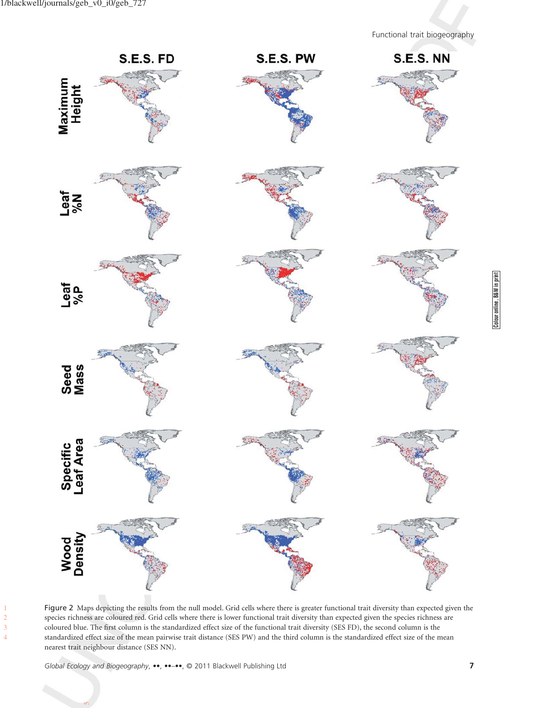Functional trait biogeography



Figure 2 Maps depicting the results from the null model. Grid cells where there is greater functional trait diversity than expected given the species richness are coloured red. Grid cells where there is lower functional trait diversity than expected given the species richness are coloured blue. The first column is the standardized effect size of the functional trait diversity (SES FD), the second column is the standardized effect size of the mean pairwise trait distance (SES PW) and the third column is the standardized effect size of the mean nearest trait neighbour distance (SES NN).

*Global Ecology and Biogeography*, **••**, ••–••, © 2011 Blackwell Publishing Ltd **7**

**Colour online, B&W in print**

Colour online, B&W in print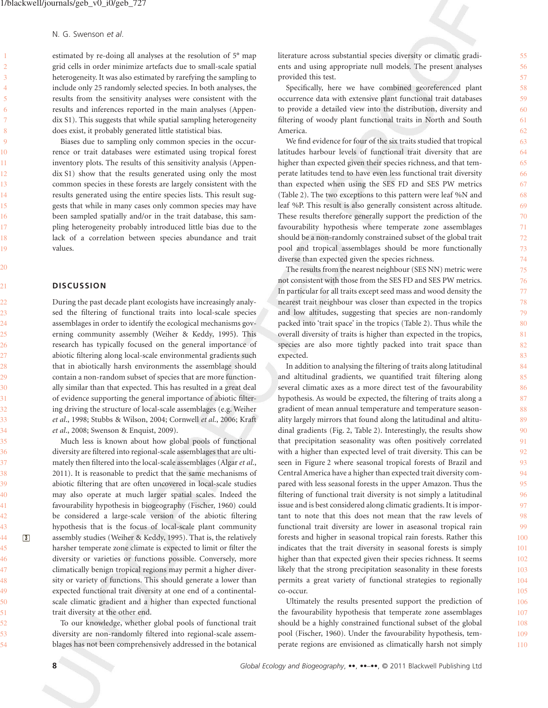20

### N. G. Swenson *et al*.

estimated by re-doing all analyses at the resolution of 5° map grid cells in order minimize artefacts due to small-scale spatial heterogeneity. It was also estimated by rarefying the sampling to include only 25 randomly selected species. In both analyses, the results from the sensitivity analyses were consistent with the results and inferences reported in the main analyses (Appendix S1). This suggests that while spatial sampling heterogeneity does exist, it probably generated little statistical bias.

Biases due to sampling only common species in the occurrence or trait databases were estimated using tropical forest inventory plots. The results of this sensitivity analysis (Appendix S1) show that the results generated using only the most common species in these forests are largely consistent with the results generated using the entire species lists. This result suggests that while in many cases only common species may have been sampled spatially and/or in the trait database, this sampling heterogeneity probably introduced little bias due to the lack of a correlation between species abundance and trait values.

### **DISCUSSION**

During the past decade plant ecologists have increasingly analysed the filtering of functional traits into local-scale species assemblages in order to identify the ecological mechanisms governing community assembly **(**Weiher & Keddy, 1995**)**. This research has typically focused on the general importance of abiotic filtering along local-scale environmental gradients such that in abiotically harsh environments the assemblage should contain a non-random subset of species that are more functionally similar than that expected. This has resulted in a great deal of evidence supporting the general importance of abiotic filtering driving the structure of local-scale assemblages (e.g. Weiher *et al*., 1998; Stubbs & Wilson, 2004; Cornwell *et al*., 2006; Kraft *et al*., 2008; Swenson & Enquist, 2009).

Much less is known about how global pools of functional diversity are filtered into regional-scale assemblages that are ultimately then filtered into the local-scale assemblages (Algar*et al*., 2011). It is reasonable to predict that the same mechanisms of abiotic filtering that are often uncovered in local-scale studies may also operate at much larger spatial scales. Indeed the favourability hypothesis in biogeography (Fischer, 1960) could be considered a large-scale version of the abiotic filtering hypothesis that is the focus of local-scale plant community assembly studies (Weiher & Keddy, 1995). That is, the relatively harsher temperate zone climate is expected to limit or filter the diversity or varieties or functions possible. Conversely, more climatically benign tropical regions may permit a higher diversity or variety of functions. This should generate a lower than expected functional trait diversity at one end of a continentalscale climatic gradient and a higher than expected functional trait diversity at the other end.

To our knowledge, whether global pools of functional trait diversity are non-randomly filtered into regional-scale assemblages has not been comprehensively addressed in the botanical literature across substantial species diversity or climatic gradients and using appropriate null models. The present analyses provided this test.

Specifically, here we have combined georeferenced plant occurrence data with extensive plant functional trait databases to provide a detailed view into the distribution, diversity and filtering of woody plant functional traits in North and South America.

We find evidence for four of the six traits studied that tropical latitudes harbour levels of functional trait diversity that are higher than expected given their species richness, and that temperate latitudes tend to have even less functional trait diversity than expected when using the SES FD and SES PW metrics (Table 2). The two exceptions to this pattern were leaf %N and leaf %P. This result is also generally consistent across altitude. These results therefore generally support the prediction of the favourability hypothesis where temperate zone assemblages should be a non-randomly constrained subset of the global trait pool and tropical assemblages should be more functionally diverse than expected given the species richness.

The results from the nearest neighbour (SES NN) metric were not consistent with those from the SES FD and SES PW metrics. In particular for all traits except seed mass and wood density the nearest trait neighbour was closer than expected in the tropics and low altitudes, suggesting that species are non-randomly packed into 'trait space' in the tropics (Table 2). Thus while the overall diversity of traits is higher than expected in the tropics, species are also more tightly packed into trait space than expected.

In addition to analysing the filtering of traits along latitudinal and altitudinal gradients, we quantified trait filtering along several climatic axes as a more direct test of the favourability hypothesis. As would be expected, the filtering of traits along a gradient of mean annual temperature and temperature seasonality largely mirrors that found along the latitudinal and altitudinal gradients (Fig. 2, Table 2). Interestingly, the results show that precipitation seasonality was often positively correlated with a higher than expected level of trait diversity. This can be seen in Figure 2 where seasonal tropical forests of Brazil and Central America have a higher than expected trait diversity compared with less seasonal forests in the upper Amazon. Thus the filtering of functional trait diversity is not simply a latitudinal issue and is best considered along climatic gradients. It is important to note that this does not mean that the raw levels of functional trait diversity are lower in aseasonal tropical rain forests and higher in seasonal tropical rain forests. Rather this indicates that the trait diversity in seasonal forests is simply higher than that expected given their species richness. It seems likely that the strong precipitation seasonality in these forests permits a great variety of functional strategies to regionally co-occur.

Ultimately the results presented support the prediction of the favourability hypothesis that temperate zone assemblages should be a highly constrained functional subset of the global pool (Fischer, 1960). Under the favourability hypothesis, temperate regions are envisioned as climatically harsh not simply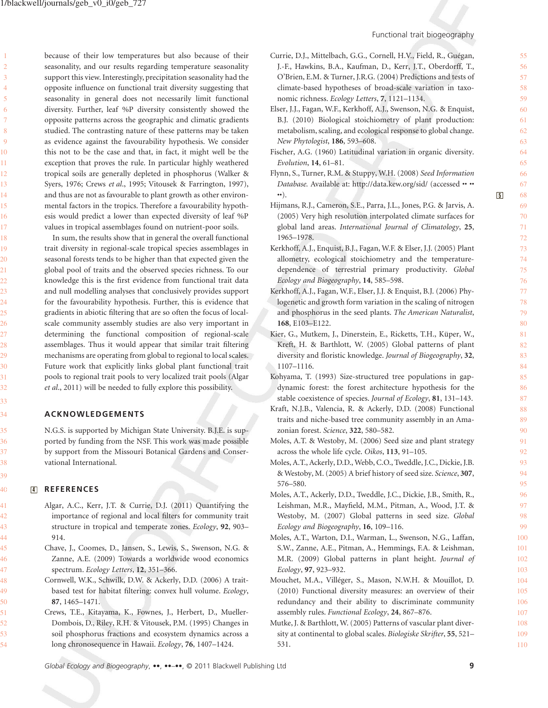because of their low temperatures but also because of their seasonality, and our results regarding temperature seasonality support this view. Interestingly, precipitation seasonality had the opposite influence on functional trait diversity suggesting that seasonality in general does not necessarily limit functional diversity. Further, leaf %P diversity consistently showed the opposite patterns across the geographic and climatic gradients studied. The contrasting nature of these patterns may be taken as evidence against the favourability hypothesis. We consider this not to be the case and that, in fact, it might well be the exception that proves the rule. In particular highly weathered tropical soils are generally depleted in phosphorus (Walker & Syers, 1976; Crews *et al*., 1995; Vitousek & Farrington, 1997), and thus are not as favourable to plant growth as other environmental factors in the tropics. Therefore a favourability hypothesis would predict a lower than expected diversity of leaf %P values in tropical assemblages found on nutrient-poor soils.

In sum, the results show that in general the overall functional trait diversity in regional-scale tropical species assemblages in seasonal forests tends to be higher than that expected given the global pool of traits and the observed species richness. To our knowledge this is the first evidence from functional trait data and null modelling analyses that conclusively provides support for the favourability hypothesis. Further, this is evidence that gradients in abiotic filtering that are so often the focus of localscale community assembly studies are also very important in determining the functional composition of regional-scale assemblages. Thus it would appear that similar trait filtering mechanisms are operating from global to regional to local scales. Future work that explicitly links global plant functional trait pools to regional trait pools to very localized trait pools (Algar *et al*., 2011) will be needed to fully explore this possibility.

### **ACKNOWLEDGEMENTS**

N.G.S. is supported by Michigan State University. B.J.E. is supported by funding from the NSF. This work was made possible by support from the Missouri Botanical Gardens and Conservational International.

## **REFERENCES**

- Algar, A.C., Kerr, J.T. & Currie, D.J. (2011) Quantifying the importance of regional and local filters for community trait structure in tropical and temperate zones. *Ecology*, **92**, 903– 914.
- Chave, J., Coomes, D., Jansen, S., Lewis, S., Swenson, N.G. & Zanne, A.E. (2009) Towards a worldwide wood economics spectrum. *Ecology Letters*, **12**, 351–366.
- Cornwell, W.K., Schwilk, D.W. & Ackerly, D.D. (2006) A traitbased test for habitat filtering: convex hull volume. *Ecology*, **87**, 1465–1471.
- Crews, T.E., Kitayama, K., Fownes, J., Herbert, D., Mueller-Dombois, D., Riley, R.H. & Vitousek, P.M. (1995) Changes in soil phosphorus fractions and ecosystem dynamics across a long chronosequence in Hawaii. *Ecology*, **76**, 1407–1424.

### Functional trait biogeography

5**5**

- Currie, D.J., Mittelbach, G.G., Cornell, H.V., Field, R., Guégan, J.-F., Hawkins, B.A., Kaufman, D., Kerr, J.T., Oberdorff, T., O'Brien, E.M. & Turner, J.R.G. (2004) Predictions and tests of climate-based hypotheses of broad-scale variation in taxonomic richness. *Ecology Letters*, **7**, 1121–1134. Elser, J.J., Fagan, W.F., Kerkhoff, A.J., Swenson, N.G. & Enquist,
- B.J. (2010) Biological stoichiometry of plant production: metabolism, scaling, and ecological response to global change. *New Phytologist*, **186**, 593–608.
- Fischer, A.G. (1960) Latitudinal variation in organic diversity. *Evolution*, **14**, 61–81.
- Flynn, S., Turner, R.M. & Stuppy, W.H. (2008) *Seed Information Database.* Available at: http://data.kew.org/sid/ (accessed •• •• ••).
- Hijmans, R.J., Cameron, S.E., Parra, J.L., Jones, P.G. & Jarvis, A. (2005) Very high resolution interpolated climate surfaces for global land areas. *International Journal of Climatology*, **25**, 1965–1978.
- Kerkhoff, A.J., Enquist, B.J., Fagan, W.F. & Elser, J.J. (2005) Plant allometry, ecological stoichiometry and the temperaturedependence of terrestrial primary productivity. *Global Ecology and Biogeography*, **14**, 585–598.
- Kerkhoff, A.J., Fagan, W.F., Elser, J.J. & Enquist, B.J. (2006) Phylogenetic and growth form variation in the scaling of nitrogen and phosphorus in the seed plants. *The American Naturalist*, **168**, E103–E122.
- Kier, G., Mutkem, J., Dinerstein, E., Ricketts, T.H., Küper, W., Kreft, H. & Barthlott, W. (2005) Global patterns of plant diversity and floristic knowledge. *Journal of Biogeography*, **32**, 1107–1116.
- Kohyama, T. (1993) Size-structured tree populations in gapdynamic forest: the forest architecture hypothesis for the stable coexistence of species. *Journal of Ecology*, **81**, 131–143.
- Kraft, N.J.B., Valencia, R. & Ackerly, D.D. (2008) Functional traits and niche-based tree community assembly in an Amazonian forest. *Science*, **322**, 580–582.
- Moles, A.T. & Westoby, M. (2006) Seed size and plant strategy across the whole life cycle. *Oikos*, **113**, 91–105.
- Moles, A.T., Ackerly, D.D., Webb, C.O., Tweddle, J.C., Dickie, J.B. & Westoby, M. (2005) A brief history of seed size. *Science*, **307**, 576–580.
- Moles, A.T., Ackerly, D.D., Tweddle, J.C., Dickie, J.B., Smith, R., Leishman, M.R., Mayfield, M.M., Pitman, A., Wood, J.T. & Westoby, M. (2007) Global patterns in seed size. *Global Ecology and Biogeography*, **16**, 109–116.
- Moles, A.T., Warton, D.I., Warman, L., Swenson, N.G., Laffan, S.W., Zanne, A.E., Pitman, A., Hemmings, F.A. & Leishman, M.R. (2009) Global patterns in plant height. *Journal of Ecology*, **97**, 923–932.
- Mouchet, M.A., Villéger, S., Mason, N.W.H. & Mouillot, D. (2010) Functional diversity measures: an overview of their redundancy and their ability to discriminate community assembly rules. *Functional Ecology*, **24**, 867–876.
- Mutke, J. & Barthlott, W. (2005) Patterns of vascular plant diversity at continental to global scales. *Biologiske Skrifter*, **55**, 521– 531.

*Global Ecology and Biogeography*, **••**, ••–••, © 2011 Blackwell Publishing Ltd **9**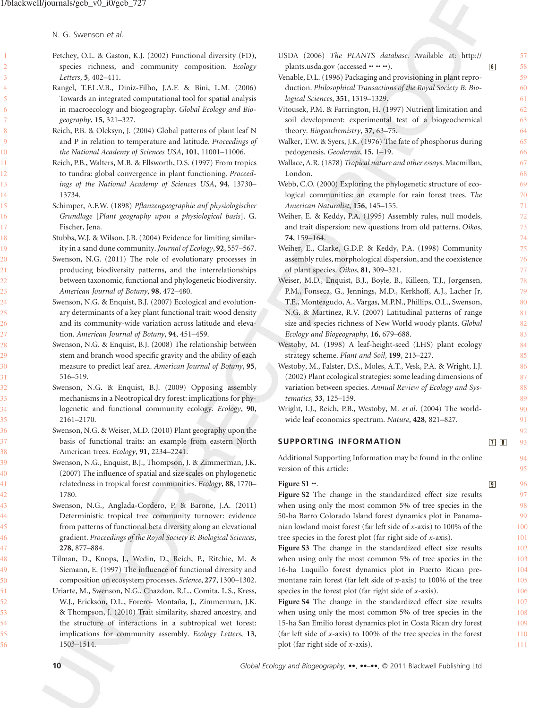N. G. Swenson *et al*.

- Petchey, O.L. & Gaston, K.J. (2002) Functional diversity (FD), species richness, and community composition. *Ecology Letters*, **5**, 402–411.
- Rangel, T.F.L.V.B., Diniz-Filho, J.A.F. & Bini, L.M. (2006) Towards an integrated computational tool for spatial analysis in macroecology and biogeography. *Global Ecology and Biogeography*, **15**, 321–327.
- Reich, P.B. & Oleksyn, J. (2004) Global patterns of plant leaf N and P in relation to temperature and latitude. *Proceedings of the National Academy of Sciences USA*, **101**, 11001–11006.
- Reich, P.B., Walters, M.B. & Ellsworth, D.S. (1997) From tropics to tundra: global convergence in plant functioning. *Proceedings of the National Academy of Sciences USA*, **94**, 13730– 13734.
- Schimper, A.F.W. (1898) *Pflanzengeographie auf physiologischer Grundlage* [*Plant geography upon a physiological basis*]. G. Fischer, Jena.
- Stubbs, W.J. & Wilson, J.B. (2004) Evidence for limiting similarity in a sand dune community.*Journal of Ecology*, **92**, 557–567.
- Swenson, N.G. (2011) The role of evolutionary processes in producing biodiversity patterns, and the interrelationships between taxonomic, functional and phylogenetic biodiversity. *American Journal of Botany*, **98**, 472–480.
- Swenson, N.G. & Enquist, B.J. (2007) Ecological and evolutionary determinants of a key plant functional trait: wood density and its community-wide variation across latitude and elevation. *American Journal of Botany*, **94**, 451–459.
- Swenson, N.G. & Enquist, B.J. (2008) The relationship between stem and branch wood specific gravity and the ability of each measure to predict leaf area. *American Journal of Botany*, **95**, 516–519.
- Swenson, N.G. & Enquist, B.J. (2009) Opposing assembly mechanisms in a Neotropical dry forest: implications for phylogenetic and functional community ecology. *Ecology*, **90**, 2161–2170.
- Swenson, N.G. & Weiser, M.D. (2010) Plant geography upon the basis of functional traits: an example from eastern North American trees. *Ecology*, **91**, 2234–2241.
- Swenson, N.G., Enquist, B.J., Thompson, J. & Zimmerman, J.K. (2007) The influence of spatial and size scales on phylogenetic relatedness in tropical forest communities. *Ecology*, **88**, 1770– 1780.
- Swenson, N.G., Anglada-Cordero, P. & Barone, J.A. (2011) Deterministic tropical tree community turnover: evidence from patterns of functional beta diversity along an elevational gradient. *Proceedings of the Royal Society B: Biological Sciences*, **278**, 877–884.
- Tilman, D., Knops, J., Wedin, D., Reich, P., Ritchie, M. & Siemann, E. (1997) The influence of functional diversity and composition on ecosystem processes. *Science*, **277**, 1300–1302.
- Uriarte, M., Swenson, N.G., Chazdon, R.L., Comita, L.S., Kress, W.J., Erickson, D.L., Forero- Montaña, J., Zimmerman, J.K. & Thompson, J. (2010) Trait similarity, shared ancestry, and the structure of interactions in a subtropical wet forest: implications for community assembly. *Ecology Letters*, **13**, 1503–1514.

| USDA (2006) The PLANTS database. Available at: http://                |                 | 57  |
|-----------------------------------------------------------------------|-----------------|-----|
| plants.usda.gov (accessed ····).                                      | $\boxed{6}$     | 58  |
| Venable, D.L. (1996) Packaging and provisioning in plant repro-       |                 | 59  |
| duction. Philosophical Transactions of the Royal Society B: Bio-      |                 | 60  |
| logical Sciences, 351, 1319-1329.                                     |                 | 61  |
| Vitousek, P.M. & Farrington, H. (1997) Nutrient limitation and        |                 | 62  |
| soil development: experimental test of a biogeochemical               |                 | 63  |
| theory. Biogeochemistry, 37, 63-75.                                   |                 | 64  |
| Walker, T.W. & Syers, J.K. (1976) The fate of phosphorus during       |                 | 65  |
| pedogenesis. Geoderma, 15, 1-19.                                      |                 | 66  |
| Wallace, A.R. (1878) Tropical nature and other essays. Macmillan,     |                 | 67  |
| London.                                                               |                 | 68  |
| Webb, C.O. (2000) Exploring the phylogenetic structure of eco-        |                 | 69  |
| logical communities: an example for rain forest trees. The            |                 | 70  |
| American Naturalist, 156, 145-155.                                    |                 | 71  |
| Weiher, E. & Keddy, P.A. (1995) Assembly rules, null models,          |                 | 72  |
| and trait dispersion: new questions from old patterns. Oikos,         |                 | 73  |
| 74, 159-164.                                                          |                 | 74  |
| Weiher, E., Clarke, G.D.P. & Keddy, P.A. (1998) Community             |                 | 75  |
| assembly rules, morphological dispersion, and the coexistence         |                 | 76  |
| of plant species. Oikos, 81, 309-321.                                 |                 | 77  |
| Weiser, M.D., Enquist, B.J., Boyle, B., Killeen, T.J., Jørgensen,     |                 | 78  |
| P.M., Fonseca, G., Jennings, M.D., Kerkhoff, A.J., Lacher Jr,         |                 | 79  |
| T.E., Monteagudo, A., Vargas, M.P.N., Phillips, O.L., Swenson,        |                 | 80  |
| N.G. & Martínez, R.V. (2007) Latitudinal patterns of range            |                 | 81  |
| size and species richness of New World woody plants. Global           |                 | 82  |
| Ecology and Biogeography, 16, 679-688.                                |                 | 83  |
| Westoby, M. (1998) A leaf-height-seed (LHS) plant ecology             |                 | 84  |
| strategy scheme. Plant and Soil, 199, 213-227.                        |                 | 85  |
| Westoby, M., Falster, D.S., Moles, A.T., Vesk, P.A. & Wright, I.J.    |                 | 86  |
| (2002) Plant ecological strategies: some leading dimensions of        |                 | 87  |
| variation between species. Annual Review of Ecology and Sys-          |                 | 88  |
| tematics, 33, 125-159.                                                |                 | 89  |
| Wright, I.J., Reich, P.B., Westoby, M. et al. (2004) The world-       |                 | 90  |
| wide leaf economics spectrum. Nature, 428, 821-827.                   |                 | 91  |
|                                                                       |                 | 92  |
| <b>SUPPORTING INFORMATION</b>                                         | 78              | 93  |
| Additional Supporting Information may be found in the online          |                 | 94  |
| version of this article:                                              |                 | 95  |
|                                                                       |                 |     |
| Figure $S1$ $\cdot \cdot$ .                                           | $\vert 9 \vert$ | 96  |
| Figure S2 The change in the standardized effect size results          |                 | 97  |
| when using only the most common 5% of tree species in the             |                 | 98  |
| 50-ha Barro Colorado Island forest dynamics plot in Panama-           |                 | 99  |
| nian lowland moist forest (far left side of $x$ -axis) to 100% of the |                 | 100 |
| tree species in the forest plot (far right side of $x$ -axis).        |                 | 101 |
| Figure S3 The change in the standardized effect size results          |                 | 102 |
| when using only the most common 5% of tree species in the             |                 | 103 |
| 16-ha Luquillo forest dynamics plot in Puerto Rican pre-              |                 | 104 |
| montane rain forest (far left side of $x$ -axis) to 100% of the tree  |                 | 105 |

species in the forest plot (far right side of *x*-axis). **Figure S4** The change in the standardized effect size results when using only the most common 5% of tree species in the 15-ha San Emilio forest dynamics plot in Costa Rican dry forest (far left side of *x*-axis) to 100% of the tree species in the forest plot (far right side of *x*-axis).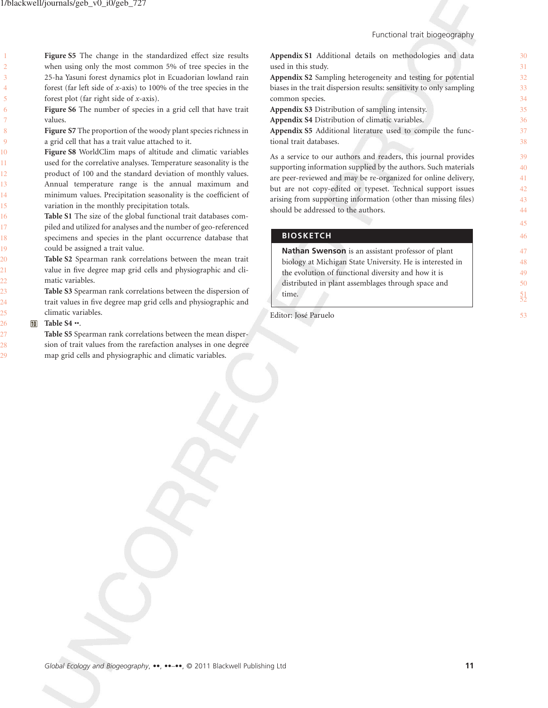**Figure S5** The change in the standardized effect size results when using only the most common 5% of tree species in the 25-ha Yasuni forest dynamics plot in Ecuadorian lowland rain forest (far left side of *x*-axis) to 100% of the tree species in the forest plot (far right side of *x*-axis).

**Figure S6** The number of species in a grid cell that have trait values.

**Figure S7** The proportion of the woody plant species richness in a grid cell that has a trait value attached to it.

**Figure S8** WorldClim maps of altitude and climatic variables used for the correlative analyses. Temperature seasonality is the product of 100 and the standard deviation of monthly values. Annual temperature range is the annual maximum and minimum values. Precipitation seasonality is the coefficient of variation in the monthly precipitation totals.

**Table S1** The size of the global functional trait databases compiled and utilized for analyses and the number of geo-referenced specimens and species in the plant occurrence database that could be assigned a trait value.

**Table S2** Spearman rank correlations between the mean trait value in five degree map grid cells and physiographic and climatic variables.

**Table S3** Spearman rank correlations between the dispersion of trait values in five degree map grid cells and physiographic and climatic variables.

#### **Table S4** ••. 10 **<sup>10</sup>**

**Table S5** Spearman rank correlations between the mean dispersion of trait values from the rarefaction analyses in one degree map grid cells and physiographic and climatic variables.

**Appendix S1** Additional details on methodologies and data used in this study.

**Appendix S2** Sampling heterogeneity and testing for potential biases in the trait dispersion results: sensitivity to only sampling common species.

**Appendix S3** Distribution of sampling intensity.

**Appendix S4** Distribution of climatic variables.

**Appendix S5** Additional literature used to compile the functional trait databases.

As a service to our authors and readers, this journal provides supporting information supplied by the authors. Such materials are peer-reviewed and may be re-organized for online delivery, but are not copy-edited or typeset. Technical support issues arising from supporting information (other than missing files) should be addressed to the authors.

## **BIOSKETCH**

**Nathan Swenson** is an assistant professor of plant biology at Michigan State University. He is interested in the evolution of functional diversity and how it is distributed in plant assemblages through space and time.

Editor: José Paruelo

*Global Ecology and Biogeography*, **••**, ••–••, © 2011 Blackwell Publishing Ltd **11**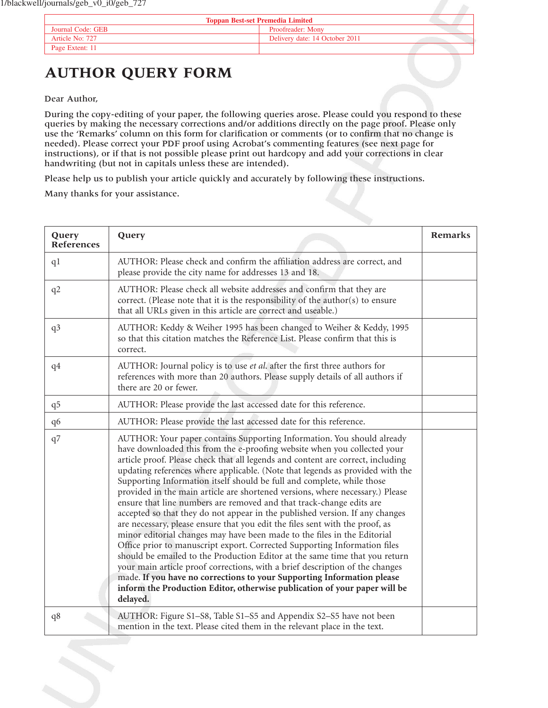|                   | <b>Toppan Best-set Premedia Limited</b> |  |
|-------------------|-----------------------------------------|--|
| Journal Code: GEB | Proofreader: Mony                       |  |
| Article No: 727   | Delivery date: 14 October 2011          |  |
| Page Extent: 11   |                                         |  |

# **AUTHOR QUERY FORM**

Dear Author,

During the copy-editing of your paper, the following queries arose. Please could you respond to these queries by making the necessary corrections and/or additions directly on the page proof. Please only use the 'Remarks' column on this form for clarification or comments (or to confirm that no change is needed). Please correct your PDF proof using Acrobat's commenting features (see next page for instructions), or if that is not possible please print out hardcopy and add your corrections in clear handwriting (but not in capitals unless these are intended).

Please help us to publish your article quickly and accurately by following these instructions.

Many thanks for your assistance.

| Query<br>References | Query                                                                                                                                                                                                                                                                                                                                                                                                                                                                                                                                                                                                                                                                                                                                                                                                                                                                                                                                                                                                                                                                                                                                                                                                                | Remarks |
|---------------------|----------------------------------------------------------------------------------------------------------------------------------------------------------------------------------------------------------------------------------------------------------------------------------------------------------------------------------------------------------------------------------------------------------------------------------------------------------------------------------------------------------------------------------------------------------------------------------------------------------------------------------------------------------------------------------------------------------------------------------------------------------------------------------------------------------------------------------------------------------------------------------------------------------------------------------------------------------------------------------------------------------------------------------------------------------------------------------------------------------------------------------------------------------------------------------------------------------------------|---------|
| q1                  | AUTHOR: Please check and confirm the affiliation address are correct, and<br>please provide the city name for addresses 13 and 18.                                                                                                                                                                                                                                                                                                                                                                                                                                                                                                                                                                                                                                                                                                                                                                                                                                                                                                                                                                                                                                                                                   |         |
| q2                  | AUTHOR: Please check all website addresses and confirm that they are<br>correct. (Please note that it is the responsibility of the author(s) to ensure<br>that all URLs given in this article are correct and useable.)                                                                                                                                                                                                                                                                                                                                                                                                                                                                                                                                                                                                                                                                                                                                                                                                                                                                                                                                                                                              |         |
| q <sup>3</sup>      | AUTHOR: Keddy & Weiher 1995 has been changed to Weiher & Keddy, 1995<br>so that this citation matches the Reference List. Please confirm that this is<br>correct.                                                                                                                                                                                                                                                                                                                                                                                                                                                                                                                                                                                                                                                                                                                                                                                                                                                                                                                                                                                                                                                    |         |
| q <sub>4</sub>      | AUTHOR: Journal policy is to use et al. after the first three authors for<br>references with more than 20 authors. Please supply details of all authors if<br>there are 20 or fewer.                                                                                                                                                                                                                                                                                                                                                                                                                                                                                                                                                                                                                                                                                                                                                                                                                                                                                                                                                                                                                                 |         |
| q5                  | AUTHOR: Please provide the last accessed date for this reference.                                                                                                                                                                                                                                                                                                                                                                                                                                                                                                                                                                                                                                                                                                                                                                                                                                                                                                                                                                                                                                                                                                                                                    |         |
| $q6$                | AUTHOR: Please provide the last accessed date for this reference.                                                                                                                                                                                                                                                                                                                                                                                                                                                                                                                                                                                                                                                                                                                                                                                                                                                                                                                                                                                                                                                                                                                                                    |         |
| q7                  | AUTHOR: Your paper contains Supporting Information. You should already<br>have downloaded this from the e-proofing website when you collected your<br>article proof. Please check that all legends and content are correct, including<br>updating references where applicable. (Note that legends as provided with the<br>Supporting Information itself should be full and complete, while those<br>provided in the main article are shortened versions, where necessary.) Please<br>ensure that line numbers are removed and that track-change edits are<br>accepted so that they do not appear in the published version. If any changes<br>are necessary, please ensure that you edit the files sent with the proof, as<br>minor editorial changes may have been made to the files in the Editorial<br>Office prior to manuscript export. Corrected Supporting Information files<br>should be emailed to the Production Editor at the same time that you return<br>your main article proof corrections, with a brief description of the changes<br>made. If you have no corrections to your Supporting Information please<br>inform the Production Editor, otherwise publication of your paper will be<br>delayed. |         |
| q8                  | AUTHOR: Figure S1-S8, Table S1-S5 and Appendix S2-S5 have not been<br>mention in the text. Please cited them in the relevant place in the text.                                                                                                                                                                                                                                                                                                                                                                                                                                                                                                                                                                                                                                                                                                                                                                                                                                                                                                                                                                                                                                                                      |         |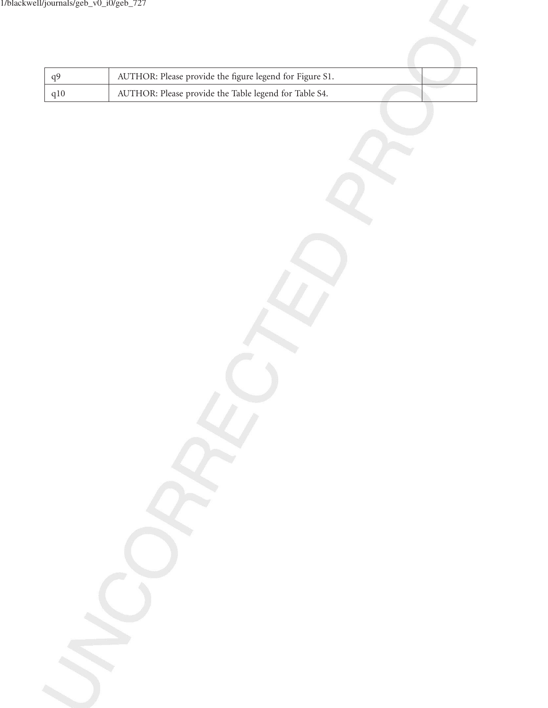|     | AUTHOR: Please provide the figure legend for Figure S1. |  |
|-----|---------------------------------------------------------|--|
| q10 | AUTHOR: Please provide the Table legend for Table S4.   |  |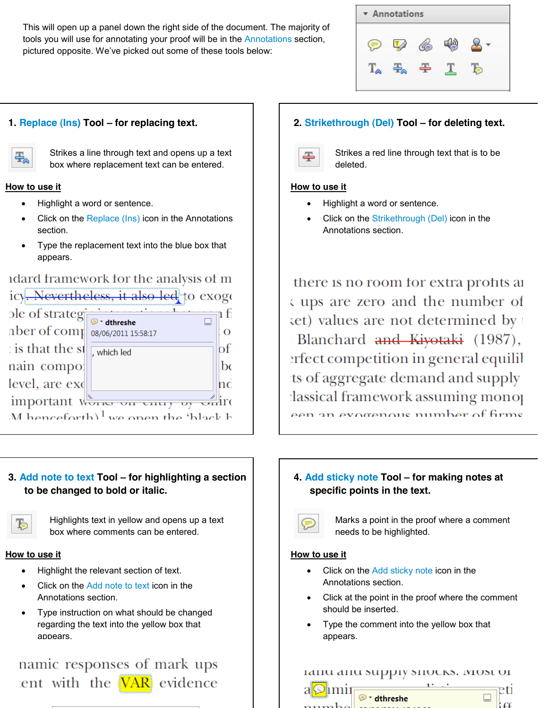This will open up a panel down the right side of the document. The majority of tools you will use for annotating your proof will be in the Annotations section, pictured opposite. We've picked out some of these tools below:

| <b>*</b> Annotations |   |    |   |   |  |  |
|----------------------|---|----|---|---|--|--|
| $=$                  |   | 45 | ∊ |   |  |  |
| т.                   | 玉 | 墨  |   | ь |  |  |

## **1. Replace (Ins) Tool – for replacing text.**



Strikes a line through text and opens up a text box where replacement text can be entered.

## **How to use it**

- Highlight a word or sentence.
- Click on the Replace (Ins) icon in the Annotations section.
- Type the replacement text into the blue box that appears.

idard framework for the analysis of m icy. Nevertheless, it also led to exogo ple of strategi ı fi <sup>●</sup> dthreshe nber of comp 08/06/2011 15:58:17  $\overline{O}$ : is that the st  $\frac{1}{\sqrt{2\pi}}$ of nain compo  $b\epsilon$ level, are exc  $nc$ important works on charge by  $\frac{1}{\sqrt{n}}$ iro  $M$  henceforth)<sup>1</sup> we onen the 'black h

## **3. Add note to text Tool – for highlighting a section to be changed to bold or italic.**



Highlights text in yellow and opens up a text box where comments can be entered.

## **How to use it**

- Highlight the relevant section of text.
- Click on the Add note to text icon in the Annotations section.
- Type instruction on what should be changed regarding the text into the yellow box that appears.

namic responses of mark ups ent with the **VAR** evidence

## **2. Strikethrough (Del) Tool – for deleting text.**



Strikes a red line through text that is to be deleted.

## **How to use it**

- Highlight a word or sentence.
- Click on the Strikethrough (Del) icon in the Annotations section.

there is no room for extra profits an s ups are zero and the number of set) values are not determined by Blanchard and Kiyotaki (1987), erfect competition in general equilib ts of aggregate demand and supply lassical framework assuming monop een an evocenous number of firms

## **4. Add sticky note Tool – for making notes at specific points in the text.**



Marks a point in the proof where a comment needs to be highlighted.

## **How to use it**

- Click on the Add sticky note icon in the Annotations section.
- Click at the point in the proof where the comment should be inserted.
- Type the comment into the yellow box that appears.

## тани ани миррту мноску, вном от